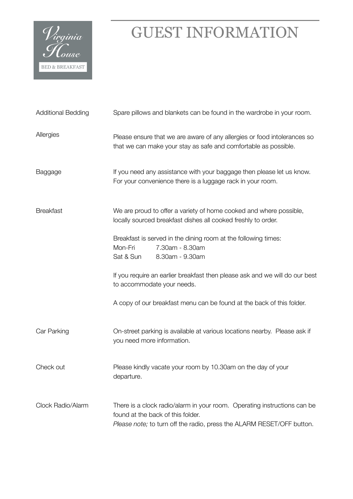

| <b>Additional Bedding</b> | Spare pillows and blankets can be found in the wardrobe in your room.                                                                                                                  |  |  |
|---------------------------|----------------------------------------------------------------------------------------------------------------------------------------------------------------------------------------|--|--|
| Allergies                 | Please ensure that we are aware of any allergies or food intolerances so<br>that we can make your stay as safe and comfortable as possible.                                            |  |  |
| Baggage                   | If you need any assistance with your baggage then please let us know.<br>For your convenience there is a luggage rack in your room.                                                    |  |  |
| <b>Breakfast</b>          | We are proud to offer a variety of home cooked and where possible,<br>locally sourced breakfast dishes all cooked freshly to order.                                                    |  |  |
|                           | Breakfast is served in the dining room at the following times:<br>Mon-Fri<br>7.30am - 8.30am<br>Sat & Sun<br>8.30am - 9.30am                                                           |  |  |
|                           | If you require an earlier breakfast then please ask and we will do our best<br>to accommodate your needs.                                                                              |  |  |
|                           | A copy of our breakfast menu can be found at the back of this folder.                                                                                                                  |  |  |
| Car Parking               | On-street parking is available at various locations nearby. Please ask if<br>you need more information.                                                                                |  |  |
| Check out                 | Please kindly vacate your room by 10.30am on the day of your<br>departure.                                                                                                             |  |  |
| Clock Radio/Alarm         | There is a clock radio/alarm in your room. Operating instructions can be<br>found at the back of this folder.<br>Please note; to turn off the radio, press the ALARM RESET/OFF button. |  |  |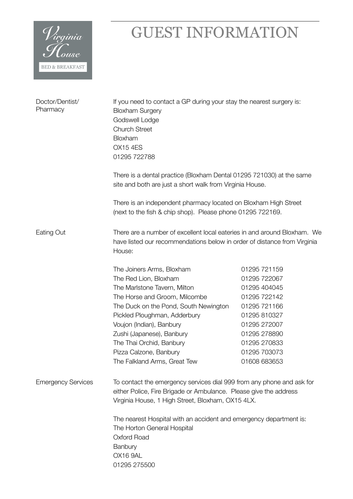

| Doctor/Dentist/<br>Pharmacy | If you need to contact a GP during your stay the nearest surgery is:<br><b>Bloxham Surgery</b><br>Godswell Lodge<br><b>Church Street</b><br>Bloxham<br><b>OX15 4ES</b><br>01295 722788                                                                                                                                                                     |                                                                                                                                                                              |  |  |
|-----------------------------|------------------------------------------------------------------------------------------------------------------------------------------------------------------------------------------------------------------------------------------------------------------------------------------------------------------------------------------------------------|------------------------------------------------------------------------------------------------------------------------------------------------------------------------------|--|--|
|                             | There is a dental practice (Bloxham Dental 01295 721030) at the same<br>site and both are just a short walk from Virginia House.                                                                                                                                                                                                                           |                                                                                                                                                                              |  |  |
|                             | There is an independent pharmacy located on Bloxham High Street<br>(next to the fish & chip shop). Please phone 01295 722169.                                                                                                                                                                                                                              |                                                                                                                                                                              |  |  |
| Eating Out                  | There are a number of excellent local eateries in and around Bloxham. We<br>have listed our recommendations below in order of distance from Virginia<br>House:                                                                                                                                                                                             |                                                                                                                                                                              |  |  |
|                             | The Joiners Arms, Bloxham<br>The Red Lion, Bloxham<br>The Marlstone Tavern, Milton<br>The Horse and Groom, Milcombe<br>The Duck on the Pond, South Newington<br>Pickled Ploughman, Adderbury<br>Voujon (Indian), Banbury<br>Zushi (Japanese), Banbury<br>The Thai Orchid, Banbury<br>Pizza Calzone, Banbury<br>The Falkland Arms, Great Tew                | 01295 721159<br>01295 722067<br>01295 404045<br>01295 722142<br>01295 721166<br>01295 810327<br>01295 272007<br>01295 278890<br>01295 270833<br>01295 703073<br>01608 683653 |  |  |
| <b>Emergency Services</b>   | To contact the emergency services dial 999 from any phone and ask for<br>either Police, Fire Brigade or Ambulance. Please give the address<br>Virginia House, 1 High Street, Bloxham, OX15 4LX.<br>The nearest Hospital with an accident and emergency department is:<br>The Horton General Hospital<br>Oxford Road<br>Banbury<br>OX16 9AL<br>01295 275500 |                                                                                                                                                                              |  |  |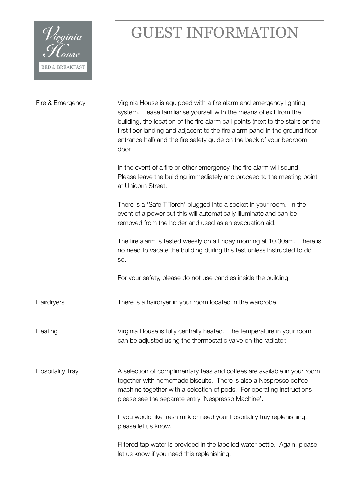

| Fire & Emergency        | Virginia House is equipped with a fire alarm and emergency lighting<br>system. Please familiarise yourself with the means of exit from the<br>building, the location of the fire alarm call points (next to the stairs on the<br>first floor landing and adjacent to the fire alarm panel in the ground floor<br>entrance hall) and the fire safety guide on the back of your bedroom<br>door. |
|-------------------------|------------------------------------------------------------------------------------------------------------------------------------------------------------------------------------------------------------------------------------------------------------------------------------------------------------------------------------------------------------------------------------------------|
|                         | In the event of a fire or other emergency, the fire alarm will sound.<br>Please leave the building immediately and proceed to the meeting point<br>at Unicorn Street.                                                                                                                                                                                                                          |
|                         | There is a 'Safe T Torch' plugged into a socket in your room. In the<br>event of a power cut this will automatically illuminate and can be<br>removed from the holder and used as an evacuation aid.                                                                                                                                                                                           |
|                         | The fire alarm is tested weekly on a Friday morning at 10.30am. There is<br>no need to vacate the building during this test unless instructed to do<br>SO.                                                                                                                                                                                                                                     |
|                         | For your safety, please do not use candles inside the building.                                                                                                                                                                                                                                                                                                                                |
| Hairdryers              | There is a hairdryer in your room located in the wardrobe.                                                                                                                                                                                                                                                                                                                                     |
| Heating                 | Virginia House is fully centrally heated. The temperature in your room<br>can be adjusted using the thermostatic valve on the radiator.                                                                                                                                                                                                                                                        |
| <b>Hospitality Tray</b> | A selection of complimentary teas and coffees are available in your room<br>together with homemade biscuits. There is also a Nespresso coffee<br>machine together with a selection of pods. For operating instructions<br>please see the separate entry 'Nespresso Machine'.                                                                                                                   |
|                         | If you would like fresh milk or need your hospitality tray replenishing,<br>please let us know.                                                                                                                                                                                                                                                                                                |
|                         | Filtered tap water is provided in the labelled water bottle. Again, please<br>let us know if you need this replenishing.                                                                                                                                                                                                                                                                       |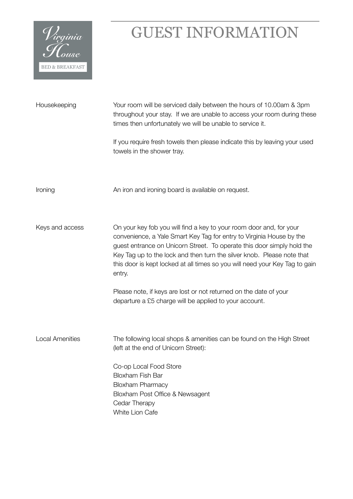

| Housekeeping           | Your room will be serviced daily between the hours of 10.00am & 3pm<br>throughout your stay. If we are unable to access your room during these<br>times then unfortunately we will be unable to service it.                                                                                                                                                                              |  |  |
|------------------------|------------------------------------------------------------------------------------------------------------------------------------------------------------------------------------------------------------------------------------------------------------------------------------------------------------------------------------------------------------------------------------------|--|--|
|                        | If you require fresh towels then please indicate this by leaving your used<br>towels in the shower tray.                                                                                                                                                                                                                                                                                 |  |  |
| Ironing                | An iron and ironing board is available on request.                                                                                                                                                                                                                                                                                                                                       |  |  |
| Keys and access        | On your key fob you will find a key to your room door and, for your<br>convenience, a Yale Smart Key Tag for entry to Virginia House by the<br>guest entrance on Unicorn Street. To operate this door simply hold the<br>Key Tag up to the lock and then turn the silver knob. Please note that<br>this door is kept locked at all times so you will need your Key Tag to gain<br>entry. |  |  |
|                        | Please note, if keys are lost or not returned on the date of your<br>departure a £5 charge will be applied to your account.                                                                                                                                                                                                                                                              |  |  |
| <b>Local Amenities</b> | The following local shops & amenities can be found on the High Street<br>(left at the end of Unicorn Street):                                                                                                                                                                                                                                                                            |  |  |
|                        | Co-op Local Food Store<br><b>Bloxham Fish Bar</b><br><b>Bloxham Pharmacy</b><br>Bloxham Post Office & Newsagent<br>Cedar Therapy<br>White Lion Cafe                                                                                                                                                                                                                                      |  |  |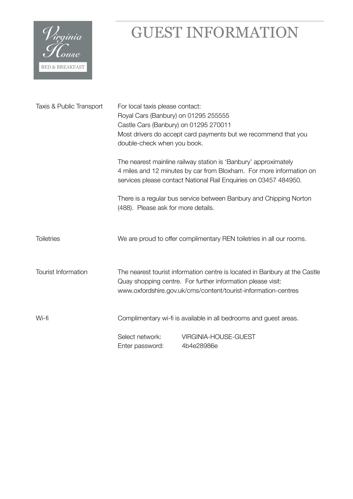

| Taxis & Public Transport | For local taxis please contact:<br>Royal Cars (Banbury) on 01295 255555<br>Castle Cars (Banbury) on 01295 270011<br>Most drivers do accept card payments but we recommend that you<br>double-check when you book. |                                                                                                                                                                                                            |  |
|--------------------------|-------------------------------------------------------------------------------------------------------------------------------------------------------------------------------------------------------------------|------------------------------------------------------------------------------------------------------------------------------------------------------------------------------------------------------------|--|
|                          |                                                                                                                                                                                                                   | The nearest mainline railway station is 'Banbury' approximately<br>4 miles and 12 minutes by car from Bloxham. For more information on<br>services please contact National Rail Enquiries on 03457 484950. |  |
|                          | (488). Please ask for more details.                                                                                                                                                                               | There is a regular bus service between Banbury and Chipping Norton                                                                                                                                         |  |
| <b>Toiletries</b>        |                                                                                                                                                                                                                   | We are proud to offer complimentary REN toiletries in all our rooms.                                                                                                                                       |  |
| Tourist Information      | The nearest tourist information centre is located in Banbury at the Castle<br>Quay shopping centre. For further information please visit:<br>www.oxfordshire.gov.uk/cms/content/tourist-information-centres       |                                                                                                                                                                                                            |  |
| Wi-fi                    | Complimentary wi-fi is available in all bedrooms and guest areas.                                                                                                                                                 |                                                                                                                                                                                                            |  |
|                          | Select network:<br>Enter password:                                                                                                                                                                                | VIRGINIA-HOUSE-GUEST<br>4b4e28986e                                                                                                                                                                         |  |